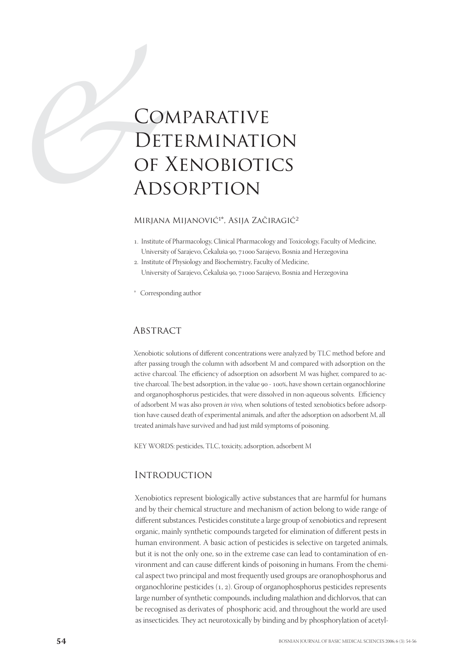# CO.<br>DET OF LADS **COMPARATIVE** Determination of Xenobiotics **ADSORPTION**

# MIRJANA MIJANOVIĆ<sup>1\*</sup>, ASIJA ZAČIRAGIĆ<sup>2</sup>

- . Institute of Pharmacology, Clinical Pharmacology and Toxicology, Faculty of Medicine, University of Sarajevo, Čekaluša 90, 71000 Sarajevo, Bosnia and Herzegovina
- . Institute of Physiology and Biochemistry, Faculty of Medicine, University of Sarajevo, Čekaluša 90, 71000 Sarajevo, Bosnia and Herzegovina
- \* Corresponding author

## **ABSTRACT**

Xenobiotic solutions of different concentrations were analyzed by TLC method before and after passing trough the column with adsorbent M and compared with adsorption on the active charcoal. The efficiency of adsorption on adsorbent M was higher, compared to active charcoal. The best adsorption, in the value 90 - 100%, have shown certain organochlorine and organophosphorus pesticides, that were dissolved in non-aqueous solvents. Efficiency of adsorbent M was also proven in vivo, when solutions of tested xenobiotics before adsorption have caused death of experimental animals, and after the adsorption on adsorbent M, all treated animals have survived and had just mild symptoms of poisoning.

KEY WORDS: pesticides, TLC, toxicity, adsorption, adsorbent M

# **INTRODUCTION**

Xenobiotics represent biologically active substances that are harmful for humans and by their chemical structure and mechanism of action belong to wide range of different substances. Pesticides constitute a large group of xenobiotics and represent organic, mainly synthetic compounds targeted for elimination of different pests in human environment. A basic action of pesticides is selective on targeted animals, but it is not the only one, so in the extreme case can lead to contamination of environment and can cause different kinds of poisoning in humans. From the chemical aspect two principal and most frequently used groups are oranophosphorus and organochlorine pesticides  $(1, 2)$ . Group of organophosphorus pesticides represents large number of synthetic compounds, including malathion and dichlorvos, that can be recognised as derivates of phosphoric acid, and throughout the world are used as insecticides. They act neurotoxically by binding and by phosphorylation of acetyl-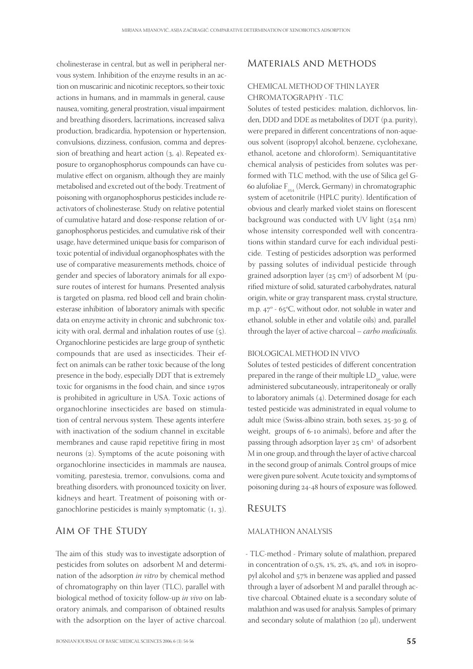cholinesterase in central, but as well in peripheral nervous system. Inhibition of the enzyme results in an action on muscarinic and nicotinic receptors, so their toxic actions in humans, and in mammals in general, cause nausea, vomiting, general prostration, visual impairment and breathing disorders, lacrimations, increased saliva production, bradicardia, hypotension or hypertension, convulsions, dizziness, confusion, comma and depression of breathing and heart action  $(3, 4)$ . Repeated exposure to organophosphorus compounds can have cumulative effect on organism, although they are mainly metabolised and excreted out of the body. Treatment of poisoning with organophosphorus pesticides include reactivators of cholinesterase. Study on relative potential of cumulative hatard and dose-response relation of organophosphorus pesticides, and cumulative risk of their usage, have determined unique basis for comparison of toxic potential of individual organophosphates with the use of comparative measurements methods, choice of gender and species of laboratory animals for all exposure routes of interest for humans. Presented analysis is targeted on plasma, red blood cell and brain cholinesterase inhibition of laboratory animals with specific data on enzyme activity in chronic and subchronic toxicity with oral, dermal and inhalation routes of use  $(5)$ . Organochlorine pesticides are large group of synthetic compounds that are used as insecticides. Their effect on animals can be rather toxic because of the long presence in the body, especially DDT that is extremely toxic for organisms in the food chain, and since 1970s is prohibited in agriculture in USA. Toxic actions of organochlorine insecticides are based on stimulation of central nervous system. These agents interfere with inactivation of the sodium channel in excitable membranes and cause rapid repetitive firing in most neurons  $(2)$ . Symptoms of the acute poisoning with organochlorine insecticides in mammals are nausea, vomiting, parestesia, tremor, convulsions, coma and breathing disorders, with pronounced toxicity on liver, kidneys and heart. Treatment of poisoning with organochlorine pesticides is mainly symptomatic  $(1, 3)$ .

## Aim of the Study

The aim of this study was to investigate adsorption of pesticides from solutes on adsorbent M and determination of the adsorption in vitro by chemical method of chromatography on thin layer (TLC), parallel with biological method of toxicity follow-up in vivo on laboratory animals, and comparison of obtained results with the adsorption on the layer of active charcoal.

# Materials and Methods

## CHEMICAL METHOD OF THIN LAYER CHROMATOGRAPHY - TLC

Solutes of tested pesticides: malation, dichlorvos, linden, DDD and DDE as metabolites of DDT (p.a. purity), were prepared in different concentrations of non-aqueous solvent (isopropyl alcohol, benzene, cyclohexane, ethanol, acetone and chloroform). Semiquantitative chemical analysis of pesticides from solutes was performed with TLC method, with the use of Silica gel G- 60 alufoliae  $F_{net}$  (Merck, Germany) in chromatographic system of acetonitrile (HPLC purity). Identification of obvious and clearly marked violet stains on florescent background was conducted with UV light  $(254 \text{ nm})$ whose intensity corresponded well with concentrations within standard curve for each individual pesticide. Testing of pesticides adsorption was performed by passing solutes of individual pesticide through grained adsorption layer  $(25 \text{ cm}^3)$  of adsorbent M (purified mixture of solid, saturated carbohydrates, natural origin, white or gray transparent mass, crystal structure, m.p.  $47^{\circ}$  - 65 $^{\circ}$ C, without odor, not soluble in water and ethanol, soluble in ether and volatile oils) and, parallel through the layer of active charcoal – carbo medicinalis.

#### BIOLOGICAL METHOD IN VIVO

Solutes of tested pesticides of different concentration prepared in the range of their multiple LD<sub>c</sub> value, were administered subcutaneously, intraperitonealy or orally to laboratory animals  $(4)$ . Determined dosage for each tested pesticide was administrated in equal volume to adult mice (Swiss-albino strain, both sexes, 25-30 g. of weight, groups of 6-10 animals), before and after the passing through adsorption layer  $25 \text{ cm}^3$  of adsorbent M in one group, and through the layer of active charcoal in the second group of animals. Control groups of mice were given pure solvent. Acute toxicity and symptoms of poisoning during 24-48 hours of exposure was followed.

## **RESULTS**

### MALATHION ANALYSIS

- TLC-method - Primary solute of malathion, prepared in concentration of  $0.5\%$ ,  $1\%$ ,  $2\%$ ,  $4\%$ , and  $10\%$  in isopropyl alcohol and 57% in benzene was applied and passed through a layer of adsorbent M and parallel through active charcoal. Obtained eluate is a secondary solute of malathion and was used for analysis. Samples of primary and secondary solute of malathion ( $20 \mu$ l), underwent